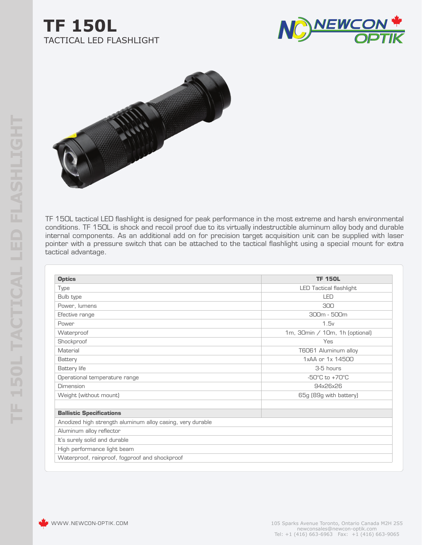## **TF 150L** TACTICAL LED FLASHLIGHT





TF 150L tactical LED flashlight is designed for peak performance in the most extreme and harsh environmental conditions. TF 150L is shock and recoil proof due to its virtually indestructible aluminum alloy body and durable internal components. As an additional add on for precision target acquisition unit can be supplied with laser pointer with a pressure switch that can be attached to the tactical flashlight using a special mount for extra tactical advantage.

| <b>Optics</b>                                              | <b>TF 150L</b>                     |
|------------------------------------------------------------|------------------------------------|
| Type                                                       | <b>LED Tactical flashlight</b>     |
| Bulb type                                                  | LED                                |
| Power, lumens                                              | 300                                |
| Efective range                                             | 300m - 500m                        |
| Power                                                      | 1.5v                               |
| Waterproof                                                 | 1m, 30min / 10m, 1h (optional)     |
| Shockproof                                                 | Yes                                |
| Material                                                   | T6061 Aluminum alloy               |
| Battery                                                    | 1xAA or 1x 14500                   |
| Battery life                                               | 3-5 hours                          |
| Operational temperature range                              | $-50^{\circ}$ C to $+70^{\circ}$ C |
| Dimension                                                  | 94x26x26                           |
| Weight (without mount)                                     | 65g (89g with battery)             |
| <b>Ballistic Specifications</b>                            |                                    |
| Anodized high strength aluminum alloy casing, very durable |                                    |
| Aluminum alloy reflector                                   |                                    |
| It's surely solid and durable                              |                                    |
| High performance light beam                                |                                    |
| Waterproof, rainproof, fogproof and shockproof             |                                    |